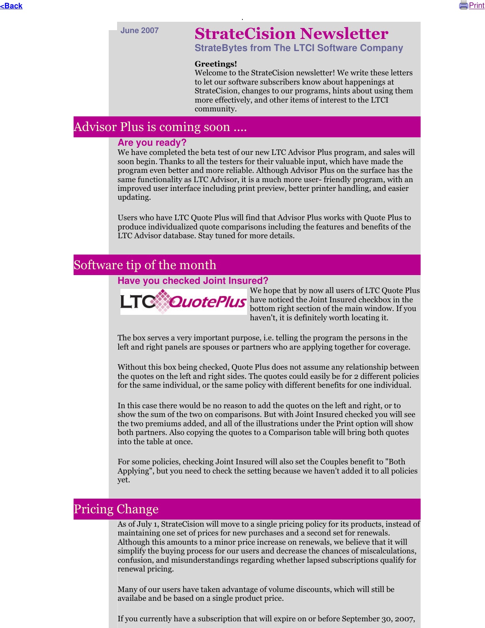

# **June 2007** StrateCision Newsletter

**StrateBytes from The LTCI Software Company**

#### Greetings!

Welcome to the StrateCision newsletter! We write these letters to let our software subscribers know about happenings at StrateCision, changes to our programs, hints about using them more effectively, and other items of interest to the LTCI community.

# Advisor Plus is coming soon ....

#### **Are you ready?**

We have completed the beta test of our new LTC Advisor Plus program, and sales will soon begin. Thanks to all the testers for their valuable input, which have made the program even better and more reliable. Although Advisor Plus on the surface has the same functionality as LTC Advisor, it is a much more user- friendly program, with an improved user interface including print preview, better printer handling, and easier updating.

Users who have LTC Quote Plus will find that Advisor Plus works with Quote Plus to produce individualized quote comparisons including the features and benefits of the LTC Advisor database. Stay tuned for more details.

## Software tip of the month

#### **Have you checked Joint Insured?**



We hope that by now all users of LTC Quote Plus have noticed the Joint Insured checkbox in the bottom right section of the main window. If you haven't, it is definitely worth locating it.

The box serves a very important purpose, i.e. telling the program the persons in the left and right panels are spouses or partners who are applying together for coverage.

Without this box being checked, Quote Plus does not assume any relationship between the quotes on the left and right sides. The quotes could easily be for 2 different policies for the same individual, or the same policy with different benefits for one individual.

In this case there would be no reason to add the quotes on the left and right, or to show the sum of the two on comparisons. But with Joint Insured checked you will see the two premiums added, and all of the illustrations under the Print option will show both partners. Also copying the quotes to a Comparison table will bring both quotes into the table at once.

For some policies, checking Joint Insured will also set the Couples benefit to "Both Applying", but you need to check the setting because we haven't added it to all policies yet.

## Pricing Change

As of July 1, StrateCision will move to a single pricing policy for its products, instead of maintaining one set of prices for new purchases and a second set for renewals. Although this amounts to a minor price increase on renewals, we believe that it will simplify the buying process for our users and decrease the chances of miscalculations, confusion, and misunderstandings regarding whether lapsed subscriptions qualify for renewal pricing.

Many of our users have taken advantage of volume discounts, which will still be availabe and be based on a single product price.

If you currently have a subscription that will expire on or before September 30, 2007,